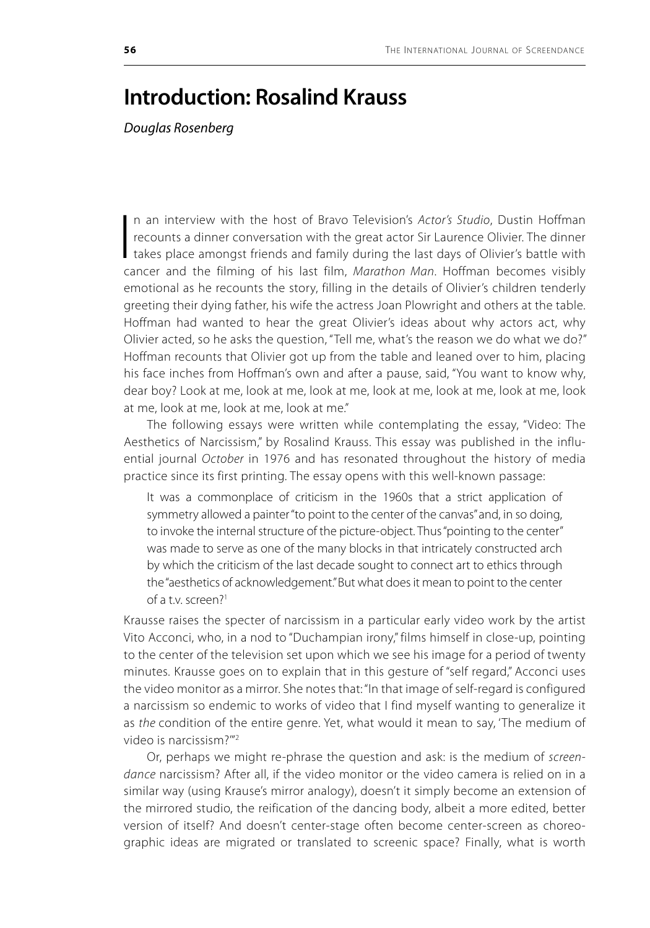## **Introduction: Rosalind Krauss**

*Douglas Rosenberg*

 $\prod_{\substack{c}}$ n an interview with the host of Bravo Television's *Actor's Studio*, Dustin Hoffman recounts a dinner conversation with the great actor Sir Laurence Olivier. The dinner takes place amongst friends and family during the last days of Olivier's battle with cancer and the filming of his last film, *Marathon Man*. Hoffman becomes visibly emotional as he recounts the story, filling in the details of Olivier's children tenderly greeting their dying father, his wife the actress Joan Plowright and others at the table. Hoffman had wanted to hear the great Olivier's ideas about why actors act, why Olivier acted, so he asks the question, "Tell me, what's the reason we do what we do?" Hoffman recounts that Olivier got up from the table and leaned over to him, placing his face inches from Hoffman's own and after a pause, said, "You want to know why, dear boy? Look at me, look at me, look at me, look at me, look at me, look at me, look at me, look at me, look at me, look at me."

The following essays were written while contemplating the essay, "Video: The Aesthetics of Narcissism," by Rosalind Krauss. This essay was published in the influential journal *October* in 1976 and has resonated throughout the history of media practice since its first printing. The essay opens with this well-known passage:

It was a commonplace of criticism in the 1960s that a strict application of symmetry allowed a painter "to point to the center of the canvas" and, in so doing, to invoke the internal structure of the picture-object. Thus "pointing to the center" was made to serve as one of the many blocks in that intricately constructed arch by which the criticism of the last decade sought to connect art to ethics through the "aesthetics of acknowledgement." But what does it mean to point to the center of a t.v. screen?<sup>1</sup>

Krausse raises the specter of narcissism in a particular early video work by the artist Vito Acconci, who, in a nod to "Duchampian irony," films himself in close-up, pointing to the center of the television set upon which we see his image for a period of twenty minutes. Krausse goes on to explain that in this gesture of "self regard," Acconci uses the video monitor as a mirror. She notes that: "In that image of self-regard is configured a narcissism so endemic to works of video that I find myself wanting to generalize it as *the* condition of the entire genre. Yet, what would it mean to say, 'The medium of video is narcissism?'"2

Or, perhaps we might re-phrase the question and ask: is the medium of *screendance* narcissism? After all, if the video monitor or the video camera is relied on in a similar way (using Krause's mirror analogy), doesn't it simply become an extension of the mirrored studio, the reification of the dancing body, albeit a more edited, better version of itself? And doesn't center-stage often become center-screen as choreographic ideas are migrated or translated to screenic space? Finally, what is worth